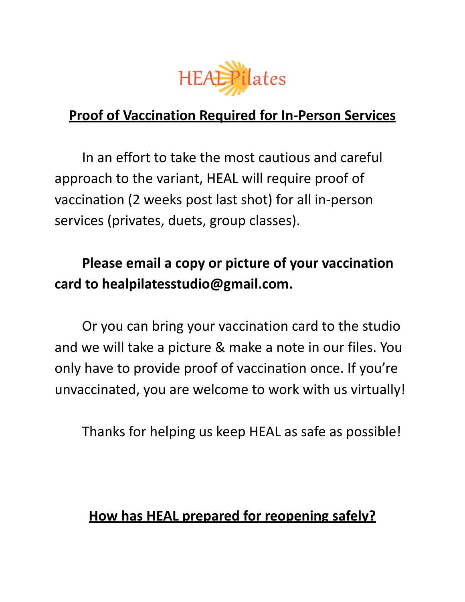

### **Proof of Vaccination Required for In-Person Services**

In an effort to take the most cautious and careful approach to the variant, HEAL will require proof of vaccination (2 weeks post last shot) for all in-person services (privates, duets, group classes).

# **Please email a copy or picture of your vaccination card to healpilatesstudio@gmail.com.**

Or you can bring your vaccination card to the studio and we will take a picture & make a note in our files. You only have to provide proof of vaccination once. If you're unvaccinated, you are welcome to work with us virtually!

Thanks for helping us keep HEAL as safe as possible!

### **How has HEAL prepared for reopening safely?**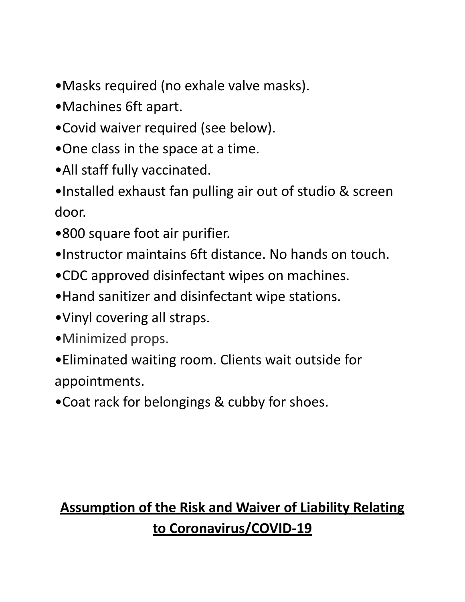- •Masks required (no exhale valve masks).
- •Machines 6ft apart.
- •Covid waiver required (see below).
- •One class in the space at a time.
- •All staff fully vaccinated.
- •Installed exhaust fan pulling air out of studio & screen door.
- •800 square foot air purifier.
- •Instructor maintains 6ft distance. No hands on touch.
- •CDC approved disinfectant wipes on machines.
- •Hand sanitizer and disinfectant wipe stations.
- •Vinyl covering all straps.
- •Minimized props.
- •Eliminated waiting room. Clients wait outside for appointments.
- •Coat rack for belongings & cubby for shoes.

# **Assumption of the Risk and Waiver of Liability Relating to Coronavirus/COVID-19**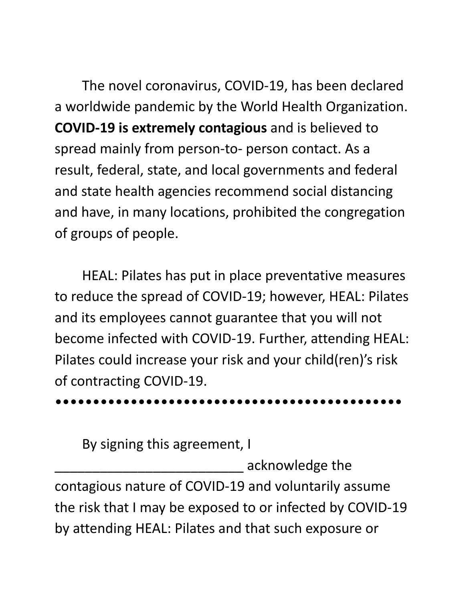The novel coronavirus, COVID-19, has been declared a worldwide pandemic by the World Health Organization. **COVID-19 is extremely contagious** and is believed to spread mainly from person-to- person contact. As a result, federal, state, and local governments and federal and state health agencies recommend social distancing and have, in many locations, prohibited the congregation of groups of people.

HEAL: Pilates has put in place preventative measures to reduce the spread of COVID-19; however, HEAL: Pilates and its employees cannot guarantee that you will not become infected with COVID-19. Further, attending HEAL: Pilates could increase your risk and your child(ren)'s risk of contracting COVID-19.

#### ••••••••••••••••••••••••••••••••••••••••••••••

By signing this agreement, I

\_\_\_\_\_\_\_\_\_\_\_\_\_\_\_\_\_\_\_\_\_\_\_\_\_ acknowledge the contagious nature of COVID-19 and voluntarily assume the risk that I may be exposed to or infected by COVID-19 by attending HEAL: Pilates and that such exposure or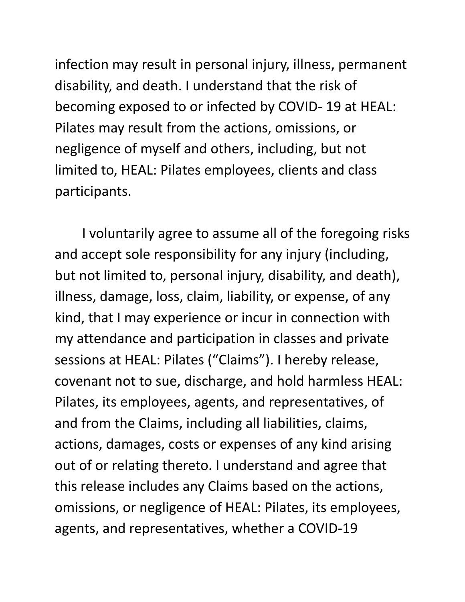infection may result in personal injury, illness, permanent disability, and death. I understand that the risk of becoming exposed to or infected by COVID- 19 at HEAL: Pilates may result from the actions, omissions, or negligence of myself and others, including, but not limited to, HEAL: Pilates employees, clients and class participants.

I voluntarily agree to assume all of the foregoing risks and accept sole responsibility for any injury (including, but not limited to, personal injury, disability, and death), illness, damage, loss, claim, liability, or expense, of any kind, that I may experience or incur in connection with my attendance and participation in classes and private sessions at HEAL: Pilates ("Claims"). I hereby release, covenant not to sue, discharge, and hold harmless HEAL: Pilates, its employees, agents, and representatives, of and from the Claims, including all liabilities, claims, actions, damages, costs or expenses of any kind arising out of or relating thereto. I understand and agree that this release includes any Claims based on the actions, omissions, or negligence of HEAL: Pilates, its employees, agents, and representatives, whether a COVID-19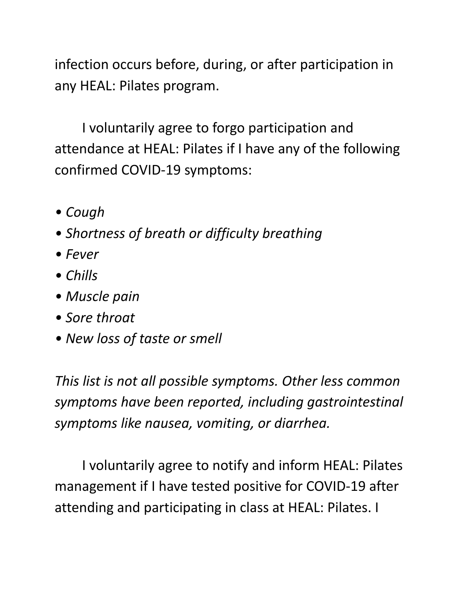infection occurs before, during, or after participation in any HEAL: Pilates program.

I voluntarily agree to forgo participation and attendance at HEAL: Pilates if I have any of the following confirmed COVID-19 symptoms:

- *• Cough*
- *• Shortness of breath or difficulty breathing*
- *• Fever*
- *• Chills*
- *• Muscle pain*
- *• Sore throat*
- *• New loss of taste or smell*

*This list is not all possible symptoms. Other less common symptoms have been reported, including gastrointestinal symptoms like nausea, vomiting, or diarrhea.*

I voluntarily agree to notify and inform HEAL: Pilates management if I have tested positive for COVID-19 after attending and participating in class at HEAL: Pilates. I